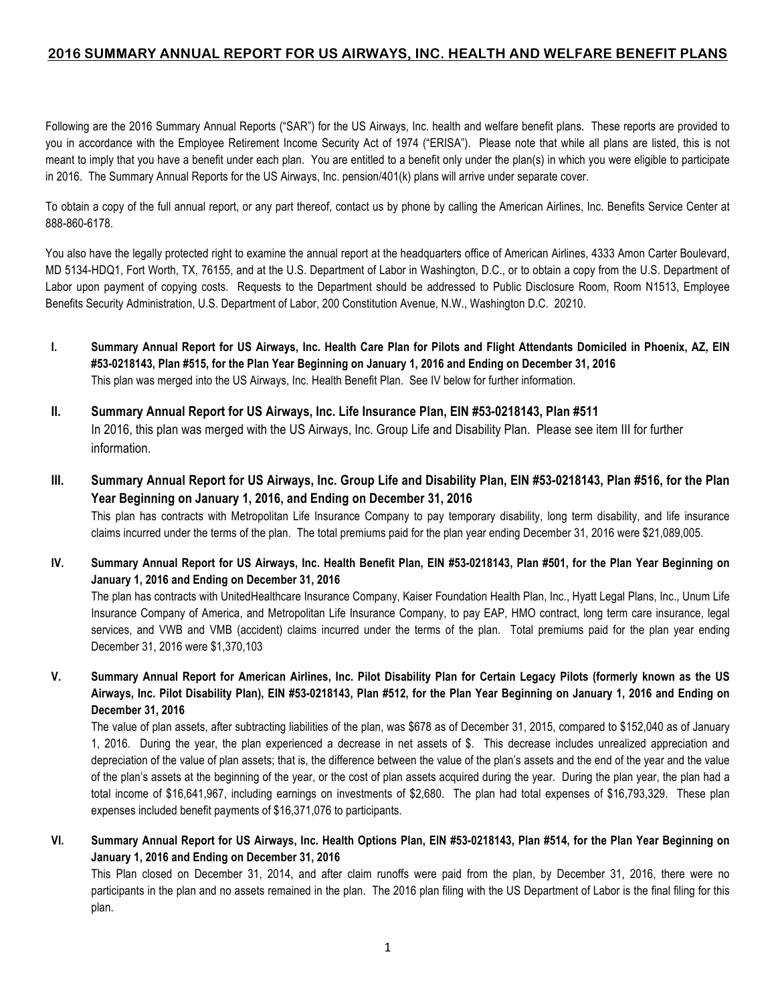## **2016 SUMMARY ANNUAL REPORT FOR US AIRWAYS, INC. HEALTH AND WELFARE BENEFIT PLANS**

Following are the 2016 Summary Annual Reports ("SAR") for the US Airways, Inc. health and welfare benefit plans. These reports are provided to you in accordance with the Employee Retirement Income Security Act of 1974 ("ERISA"). Please note that while all plans are listed, this is not meant to imply that you have a benefit under each plan. You are entitled to a benefit only under the plan(s) in which you were eligible to participate in 2016. The Summary Annual Reports for the US Airways, Inc. pension/401(k) plans will arrive under separate cover.

To obtain a copy of the full annual report, or any part thereof, contact us by phone by calling the American Airlines, Inc. Benefits Service Center at 888-860-6178.

You also have the legally protected right to examine the annual report at the headquarters office of American Airlines, 4333 Amon Carter Boulevard, MD 5134-HDQ1, Fort Worth, TX, 76155, and at the U.S. Department of Labor in Washington, D.C., or to obtain a copy from the U.S. Department of Labor upon payment of copying costs. Requests to the Department should be addressed to Public Disclosure Room, Room N1513, Employee Benefits Security Administration, U.S. Department of Labor, 200 Constitution Avenue, N.W., Washington D.C. 20210.

- **I. Summary Annual Report for US Airways, Inc. Health Care Plan for Pilots and Flight Attendants Domiciled in Phoenix, AZ, EIN #53-0218143, Plan #515, for the Plan Year Beginning on January 1, 2016 and Ending on December 31, 2016** This plan was merged into the US Airways, Inc. Health Benefit Plan. See IV below for further information.
- **II. Summary Annual Report for US Airways, Inc. Life Insurance Plan, EIN #53-0218143, Plan #511** In 2016, this plan was merged with the US Airways, Inc. Group Life and Disability Plan. Please see item III for further information.
- **III. Summary Annual Report for US Airways, Inc. Group Life and Disability Plan, EIN #53-0218143, Plan #516, for the Plan Year Beginning on January 1, 2016, and Ending on December 31, 2016** This plan has contracts with Metropolitan Life Insurance Company to pay temporary disability, long term disability, and life insurance claims incurred under the terms of the plan. The total premiums paid for the plan year ending December 31, 2016 were \$21,089,005.
- **IV. Summary Annual Report for US Airways, Inc. Health Benefit Plan, EIN #53-0218143, Plan #501, for the Plan Year Beginning on January 1, 2016 and Ending on December 31, 2016**

The plan has contracts with UnitedHealthcare Insurance Company, Kaiser Foundation Health Plan, Inc., Hyatt Legal Plans, Inc., Unum Life Insurance Company of America, and Metropolitan Life Insurance Company, to pay EAP, HMO contract, long term care insurance, legal services, and VWB and VMB (accident) claims incurred under the terms of the plan. Total premiums paid for the plan year ending December 31, 2016 were \$1,370,103

**V. Summary Annual Report for American Airlines, Inc. Pilot Disability Plan for Certain Legacy Pilots (formerly known as the US Airways, Inc. Pilot Disability Plan), EIN #53-0218143, Plan #512, for the Plan Year Beginning on January 1, 2016 and Ending on December 31, 2016**

The value of plan assets, after subtracting liabilities of the plan, was \$678 as of December 31, 2015, compared to \$152,040 as of January 1, 2016. During the year, the plan experienced a decrease in net assets of \$. This decrease includes unrealized appreciation and depreciation of the value of plan assets; that is, the difference between the value of the plan's assets and the end of the year and the value of the plan's assets at the beginning of the year, or the cost of plan assets acquired during the year. During the plan year, the plan had a total income of \$16,641,967, including earnings on investments of \$2,680. The plan had total expenses of \$16,793,329. These plan expenses included benefit payments of \$16,371,076 to participants.

**VI. Summary Annual Report for US Airways, Inc. Health Options Plan, EIN #53-0218143, Plan #514, for the Plan Year Beginning on January 1, 2016 and Ending on December 31, 2016**

This Plan closed on December 31, 2014, and after claim runoffs were paid from the plan, by December 31, 2016, there were no participants in the plan and no assets remained in the plan. The 2016 plan filing with the US Department of Labor is the final filing for this plan.